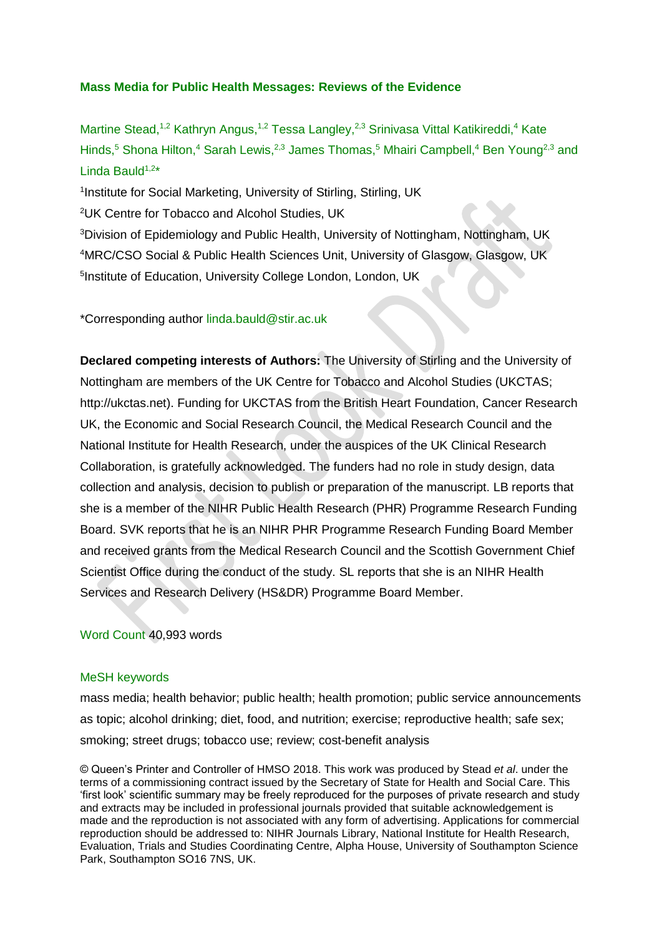## **Mass Media for Public Health Messages: Reviews of the Evidence**

Martine Stead,<sup>1,2</sup> Kathryn Angus,<sup>1,2</sup> Tessa Langley,<sup>2,3</sup> Srinivasa Vittal Katikireddi,<sup>4</sup> Kate Hinds,<sup>5</sup> Shona Hilton,<sup>4</sup> Sarah Lewis,<sup>2,3</sup> James Thomas,<sup>5</sup> Mhairi Campbell,<sup>4</sup> Ben Young<sup>2,3</sup> and Linda Bauld<sup>1,2\*</sup>

<sup>1</sup>Institute for Social Marketing, University of Stirling, Stirling, UK

<sup>2</sup>UK Centre for Tobacco and Alcohol Studies, UK

<sup>3</sup>Division of Epidemiology and Public Health, University of Nottingham, Nottingham, UK <sup>4</sup>MRC/CSO Social & Public Health Sciences Unit, University of Glasgow, Glasgow, UK <sup>5</sup>Institute of Education, University College London, London, UK

### \*Corresponding author linda.bauld@stir.ac.uk

**Declared competing interests of Authors:** The University of Stirling and the University of Nottingham are members of the UK Centre for Tobacco and Alcohol Studies (UKCTAS; http://ukctas.net). Funding for UKCTAS from the British Heart Foundation, Cancer Research UK, the Economic and Social Research Council, the Medical Research Council and the National Institute for Health Research, under the auspices of the UK Clinical Research Collaboration, is gratefully acknowledged. The funders had no role in study design, data collection and analysis, decision to publish or preparation of the manuscript. LB reports that she is a member of the NIHR Public Health Research (PHR) Programme Research Funding Board. SVK reports that he is an NIHR PHR Programme Research Funding Board Member and received grants from the Medical Research Council and the Scottish Government Chief Scientist Office during the conduct of the study. SL reports that she is an NIHR Health Services and Research Delivery (HS&DR) Programme Board Member.

### Word Count 40,993 words

### MeSH keywords

mass media; health behavior; public health; health promotion; public service announcements as topic; alcohol drinking; diet, food, and nutrition; exercise; reproductive health; safe sex; smoking; street drugs; tobacco use; review; cost-benefit analysis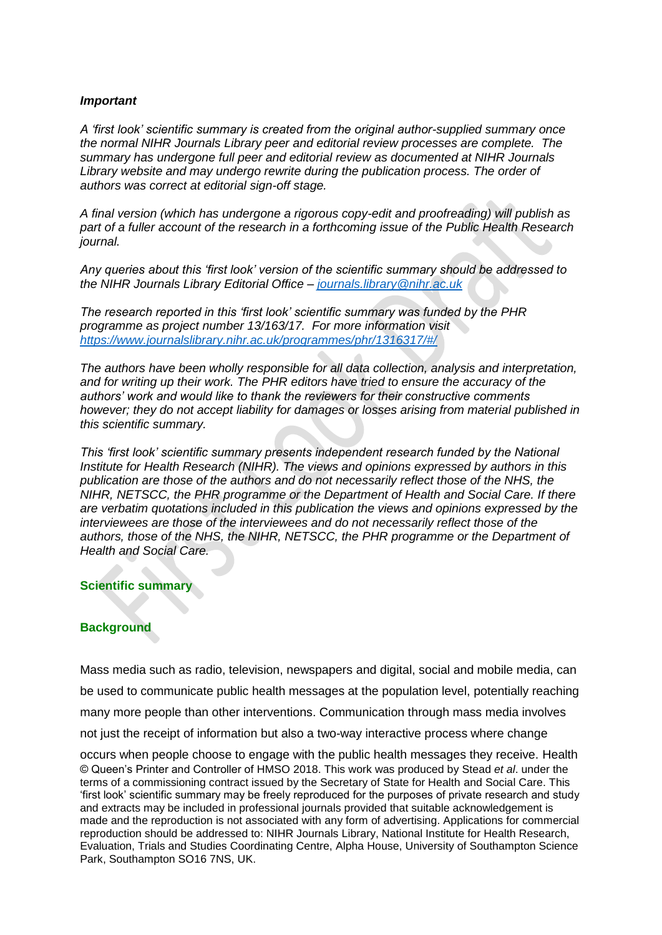### *Important*

*A 'first look' scientific summary is created from the original author-supplied summary once the normal NIHR Journals Library peer and editorial review processes are complete. The summary has undergone full peer and editorial review as documented at NIHR Journals*  Library website and may undergo rewrite during the publication process. The order of *authors was correct at editorial sign-off stage.* 

*A final version (which has undergone a rigorous copy-edit and proofreading) will publish as part of a fuller account of the research in a forthcoming issue of the Public Health Research journal.*

*Any queries about this 'first look' version of the scientific summary should be addressed to the NIHR Journals Library Editorial Office – [journals.library@nihr.ac.uk](mailto:journals.library@nihr.ac.uk)*

*The research reported in this 'first look' scientific summary was funded by the PHR programme as project number 13/163/17. For more information visit <https://www.journalslibrary.nihr.ac.uk/programmes/phr/1316317/#/>*

*The authors have been wholly responsible for all data collection, analysis and interpretation, and for writing up their work. The PHR editors have tried to ensure the accuracy of the authors' work and would like to thank the reviewers for their constructive comments however; they do not accept liability for damages or losses arising from material published in this scientific summary.*

*This 'first look' scientific summary presents independent research funded by the National Institute for Health Research (NIHR). The views and opinions expressed by authors in this publication are those of the authors and do not necessarily reflect those of the NHS, the NIHR, NETSCC, the PHR programme or the Department of Health and Social Care. If there are verbatim quotations included in this publication the views and opinions expressed by the interviewees are those of the interviewees and do not necessarily reflect those of the authors, those of the NHS, the NIHR, NETSCC, the PHR programme or the Department of Health and Social Care.*

### **Scientific summary**

## **Background**

Mass media such as radio, television, newspapers and digital, social and mobile media, can be used to communicate public health messages at the population level, potentially reaching many more people than other interventions. Communication through mass media involves not just the receipt of information but also a two-way interactive process where change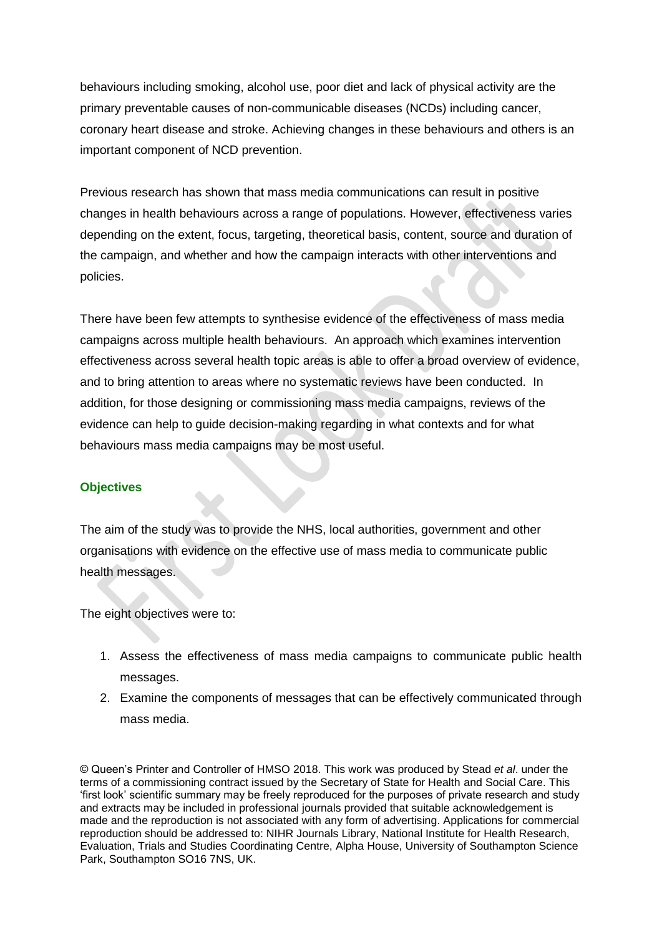behaviours including smoking, alcohol use, poor diet and lack of physical activity are the primary preventable causes of non-communicable diseases (NCDs) including cancer, coronary heart disease and stroke. Achieving changes in these behaviours and others is an important component of NCD prevention.

Previous research has shown that mass media communications can result in positive changes in health behaviours across a range of populations. However, effectiveness varies depending on the extent, focus, targeting, theoretical basis, content, source and duration of the campaign, and whether and how the campaign interacts with other interventions and policies.

There have been few attempts to synthesise evidence of the effectiveness of mass media campaigns across multiple health behaviours. An approach which examines intervention effectiveness across several health topic areas is able to offer a broad overview of evidence, and to bring attention to areas where no systematic reviews have been conducted. In addition, for those designing or commissioning mass media campaigns, reviews of the evidence can help to guide decision-making regarding in what contexts and for what behaviours mass media campaigns may be most useful.

## **Objectives**

The aim of the study was to provide the NHS, local authorities, government and other organisations with evidence on the effective use of mass media to communicate public health messages.

The eight objectives were to:

- 1. Assess the effectiveness of mass media campaigns to communicate public health messages.
- 2. Examine the components of messages that can be effectively communicated through mass media.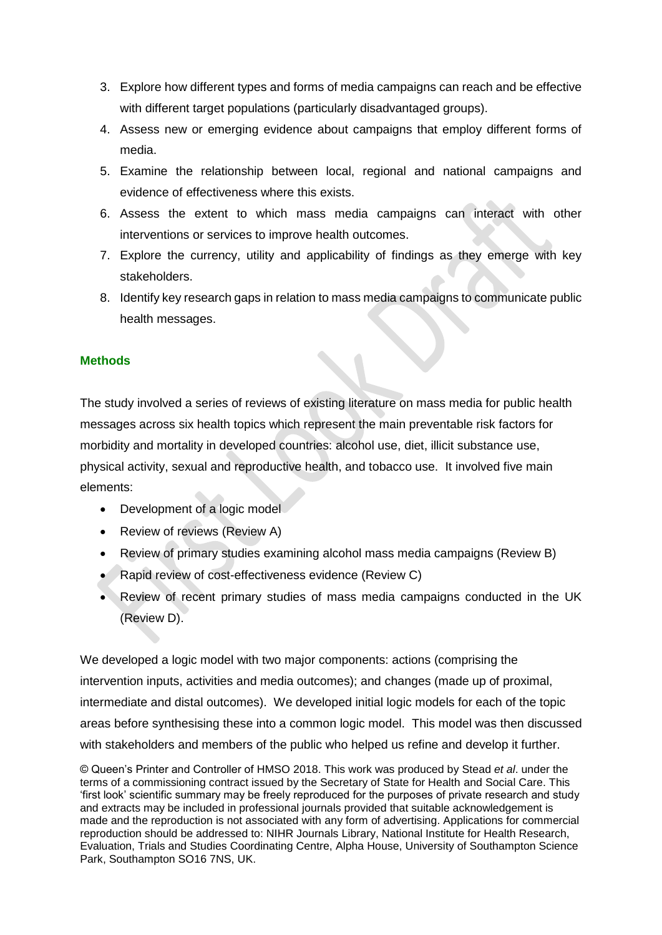- 3. Explore how different types and forms of media campaigns can reach and be effective with different target populations (particularly disadvantaged groups).
- 4. Assess new or emerging evidence about campaigns that employ different forms of media.
- 5. Examine the relationship between local, regional and national campaigns and evidence of effectiveness where this exists.
- 6. Assess the extent to which mass media campaigns can interact with other interventions or services to improve health outcomes.
- 7. Explore the currency, utility and applicability of findings as they emerge with key stakeholders.
- 8. Identify key research gaps in relation to mass media campaigns to communicate public health messages.

## **Methods**

The study involved a series of reviews of existing literature on mass media for public health messages across six health topics which represent the main preventable risk factors for morbidity and mortality in developed countries: alcohol use, diet, illicit substance use, physical activity, sexual and reproductive health, and tobacco use. It involved five main elements:

- Development of a logic model
- Review of reviews (Review A)
- Review of primary studies examining alcohol mass media campaigns (Review B)
- Rapid review of cost-effectiveness evidence (Review C)
- Review of recent primary studies of mass media campaigns conducted in the UK (Review D).

We developed a logic model with two major components: actions (comprising the intervention inputs, activities and media outcomes); and changes (made up of proximal, intermediate and distal outcomes). We developed initial logic models for each of the topic areas before synthesising these into a common logic model. This model was then discussed with stakeholders and members of the public who helped us refine and develop it further.

<sup>©</sup> Queen's Printer and Controller of HMSO 2018. This work was produced by Stead *et al*. under the terms of a commissioning contract issued by the Secretary of State for Health and Social Care. This 'first look' scientific summary may be freely reproduced for the purposes of private research and study and extracts may be included in professional journals provided that suitable acknowledgement is made and the reproduction is not associated with any form of advertising. Applications for commercial reproduction should be addressed to: NIHR Journals Library, National Institute for Health Research, Evaluation, Trials and Studies Coordinating Centre, Alpha House, University of Southampton Science Park, Southampton SO16 7NS, UK.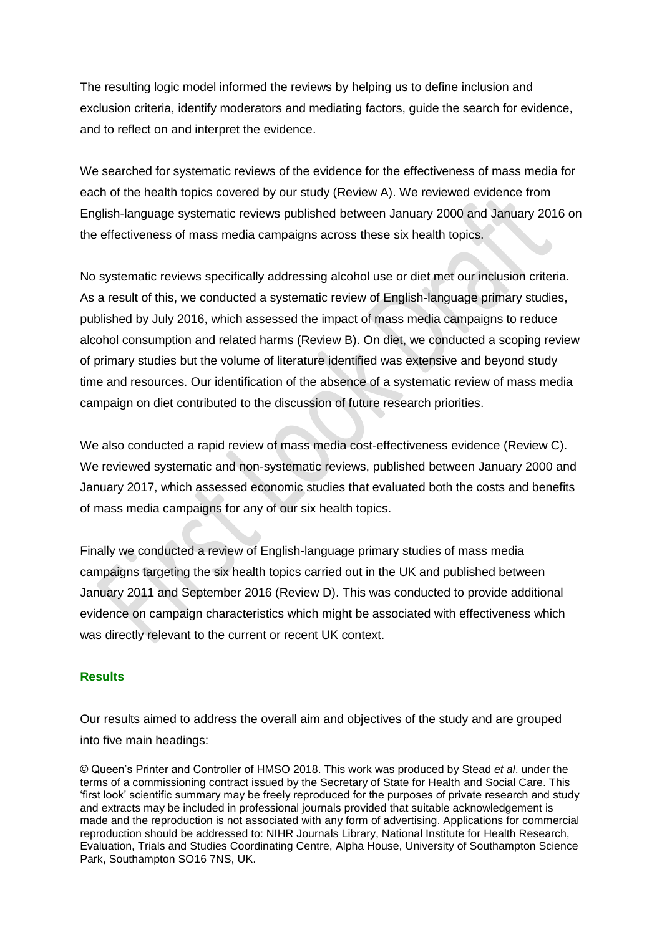The resulting logic model informed the reviews by helping us to define inclusion and exclusion criteria, identify moderators and mediating factors, guide the search for evidence, and to reflect on and interpret the evidence.

We searched for systematic reviews of the evidence for the effectiveness of mass media for each of the health topics covered by our study (Review A). We reviewed evidence from English-language systematic reviews published between January 2000 and January 2016 on the effectiveness of mass media campaigns across these six health topics.

No systematic reviews specifically addressing alcohol use or diet met our inclusion criteria. As a result of this, we conducted a systematic review of English-language primary studies, published by July 2016, which assessed the impact of mass media campaigns to reduce alcohol consumption and related harms (Review B). On diet, we conducted a scoping review of primary studies but the volume of literature identified was extensive and beyond study time and resources. Our identification of the absence of a systematic review of mass media campaign on diet contributed to the discussion of future research priorities.

We also conducted a rapid review of mass media cost-effectiveness evidence (Review C). We reviewed systematic and non-systematic reviews, published between January 2000 and January 2017, which assessed economic studies that evaluated both the costs and benefits of mass media campaigns for any of our six health topics.

Finally we conducted a review of English-language primary studies of mass media campaigns targeting the six health topics carried out in the UK and published between January 2011 and September 2016 (Review D). This was conducted to provide additional evidence on campaign characteristics which might be associated with effectiveness which was directly relevant to the current or recent UK context.

## **Results**

Our results aimed to address the overall aim and objectives of the study and are grouped into five main headings: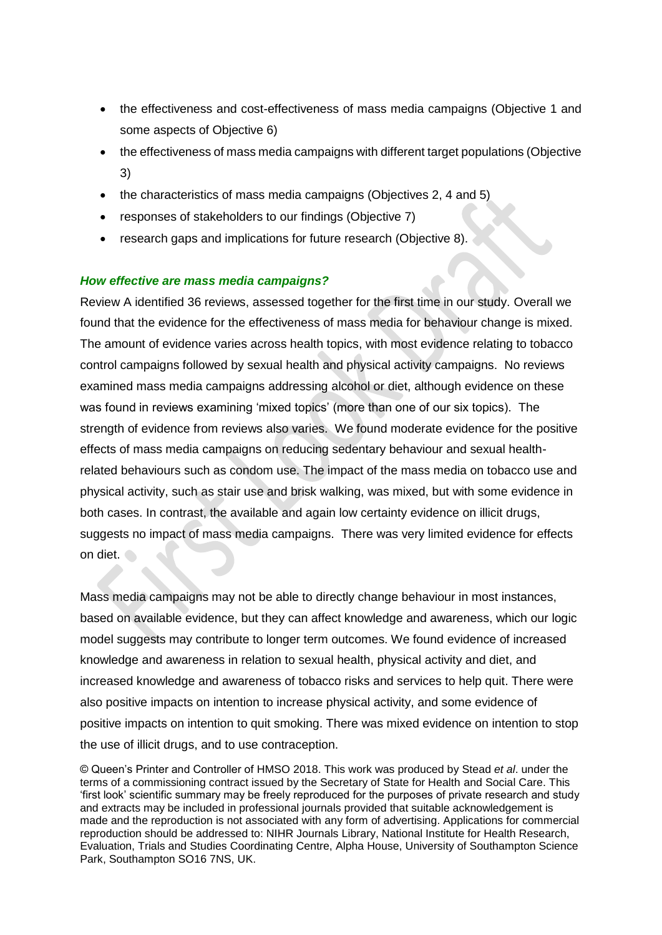- the effectiveness and cost-effectiveness of mass media campaigns (Objective 1 and some aspects of Objective 6)
- the effectiveness of mass media campaigns with different target populations (Objective 3)
- the characteristics of mass media campaigns (Objectives 2, 4 and 5)
- responses of stakeholders to our findings (Objective 7)
- research gaps and implications for future research (Objective 8).

## *How effective are mass media campaigns?*

Review A identified 36 reviews, assessed together for the first time in our study. Overall we found that the evidence for the effectiveness of mass media for behaviour change is mixed. The amount of evidence varies across health topics, with most evidence relating to tobacco control campaigns followed by sexual health and physical activity campaigns. No reviews examined mass media campaigns addressing alcohol or diet, although evidence on these was found in reviews examining 'mixed topics' (more than one of our six topics). The strength of evidence from reviews also varies. We found moderate evidence for the positive effects of mass media campaigns on reducing sedentary behaviour and sexual healthrelated behaviours such as condom use. The impact of the mass media on tobacco use and physical activity, such as stair use and brisk walking, was mixed, but with some evidence in both cases. In contrast, the available and again low certainty evidence on illicit drugs, suggests no impact of mass media campaigns. There was very limited evidence for effects on diet.

Mass media campaigns may not be able to directly change behaviour in most instances, based on available evidence, but they can affect knowledge and awareness, which our logic model suggests may contribute to longer term outcomes. We found evidence of increased knowledge and awareness in relation to sexual health, physical activity and diet, and increased knowledge and awareness of tobacco risks and services to help quit. There were also positive impacts on intention to increase physical activity, and some evidence of positive impacts on intention to quit smoking. There was mixed evidence on intention to stop the use of illicit drugs, and to use contraception.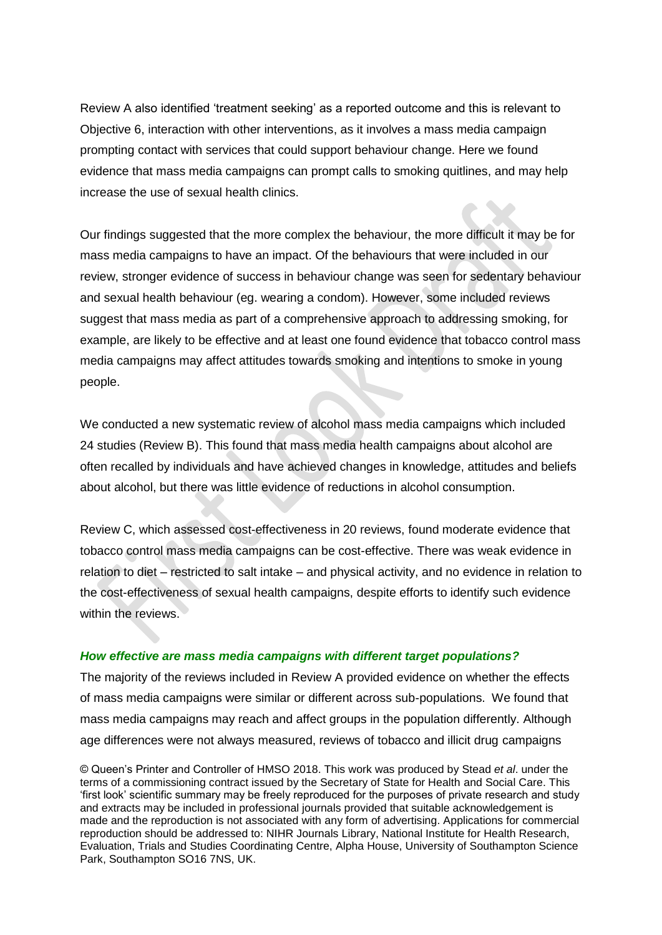Review A also identified 'treatment seeking' as a reported outcome and this is relevant to Objective 6, interaction with other interventions, as it involves a mass media campaign prompting contact with services that could support behaviour change. Here we found evidence that mass media campaigns can prompt calls to smoking quitlines, and may help increase the use of sexual health clinics.

Our findings suggested that the more complex the behaviour, the more difficult it may be for mass media campaigns to have an impact. Of the behaviours that were included in our review, stronger evidence of success in behaviour change was seen for sedentary behaviour and sexual health behaviour (eg. wearing a condom). However, some included reviews suggest that mass media as part of a comprehensive approach to addressing smoking, for example, are likely to be effective and at least one found evidence that tobacco control mass media campaigns may affect attitudes towards smoking and intentions to smoke in young people.

We conducted a new systematic review of alcohol mass media campaigns which included 24 studies (Review B). This found that mass media health campaigns about alcohol are often recalled by individuals and have achieved changes in knowledge, attitudes and beliefs about alcohol, but there was little evidence of reductions in alcohol consumption.

Review C, which assessed cost-effectiveness in 20 reviews, found moderate evidence that tobacco control mass media campaigns can be cost-effective. There was weak evidence in relation to diet – restricted to salt intake – and physical activity, and no evidence in relation to the cost-effectiveness of sexual health campaigns, despite efforts to identify such evidence within the reviews.

### *How effective are mass media campaigns with different target populations?*

The majority of the reviews included in Review A provided evidence on whether the effects of mass media campaigns were similar or different across sub-populations. We found that mass media campaigns may reach and affect groups in the population differently. Although age differences were not always measured, reviews of tobacco and illicit drug campaigns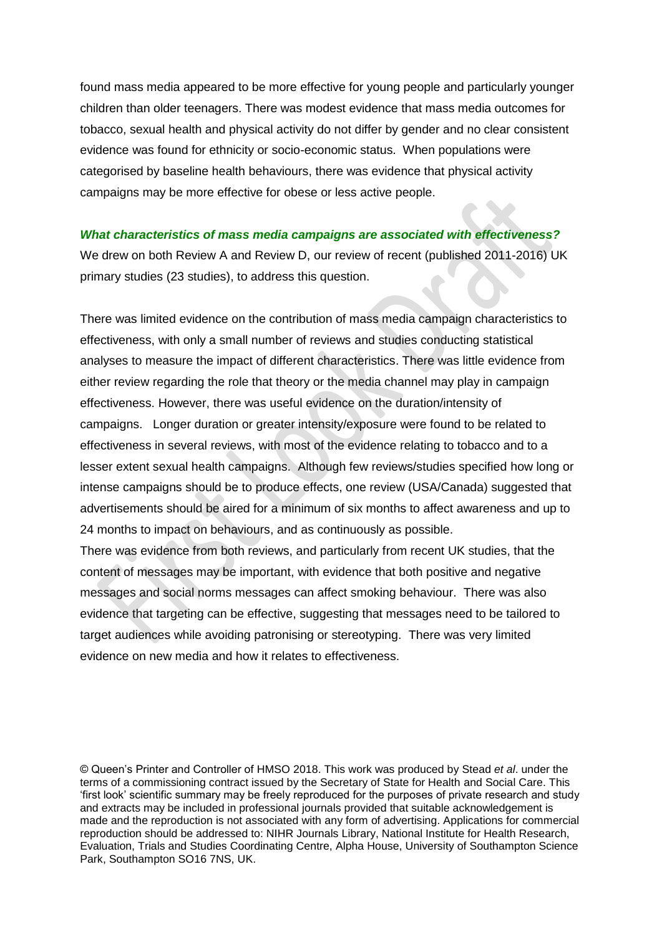found mass media appeared to be more effective for young people and particularly younger children than older teenagers. There was modest evidence that mass media outcomes for tobacco, sexual health and physical activity do not differ by gender and no clear consistent evidence was found for ethnicity or socio-economic status. When populations were categorised by baseline health behaviours, there was evidence that physical activity campaigns may be more effective for obese or less active people.

#### *What characteristics of mass media campaigns are associated with effectiveness?*

We drew on both Review A and Review D, our review of recent (published 2011-2016) UK primary studies (23 studies), to address this question.

There was limited evidence on the contribution of mass media campaign characteristics to effectiveness, with only a small number of reviews and studies conducting statistical analyses to measure the impact of different characteristics. There was little evidence from either review regarding the role that theory or the media channel may play in campaign effectiveness. However, there was useful evidence on the duration/intensity of campaigns. Longer duration or greater intensity/exposure were found to be related to effectiveness in several reviews, with most of the evidence relating to tobacco and to a lesser extent sexual health campaigns. Although few reviews/studies specified how long or intense campaigns should be to produce effects, one review (USA/Canada) suggested that advertisements should be aired for a minimum of six months to affect awareness and up to 24 months to impact on behaviours, and as continuously as possible.

There was evidence from both reviews, and particularly from recent UK studies, that the content of messages may be important, with evidence that both positive and negative messages and social norms messages can affect smoking behaviour. There was also evidence that targeting can be effective, suggesting that messages need to be tailored to target audiences while avoiding patronising or stereotyping. There was very limited evidence on new media and how it relates to effectiveness.

<sup>©</sup> Queen's Printer and Controller of HMSO 2018. This work was produced by Stead *et al*. under the terms of a commissioning contract issued by the Secretary of State for Health and Social Care. This 'first look' scientific summary may be freely reproduced for the purposes of private research and study and extracts may be included in professional journals provided that suitable acknowledgement is made and the reproduction is not associated with any form of advertising. Applications for commercial reproduction should be addressed to: NIHR Journals Library, National Institute for Health Research, Evaluation, Trials and Studies Coordinating Centre, Alpha House, University of Southampton Science Park, Southampton SO16 7NS, UK.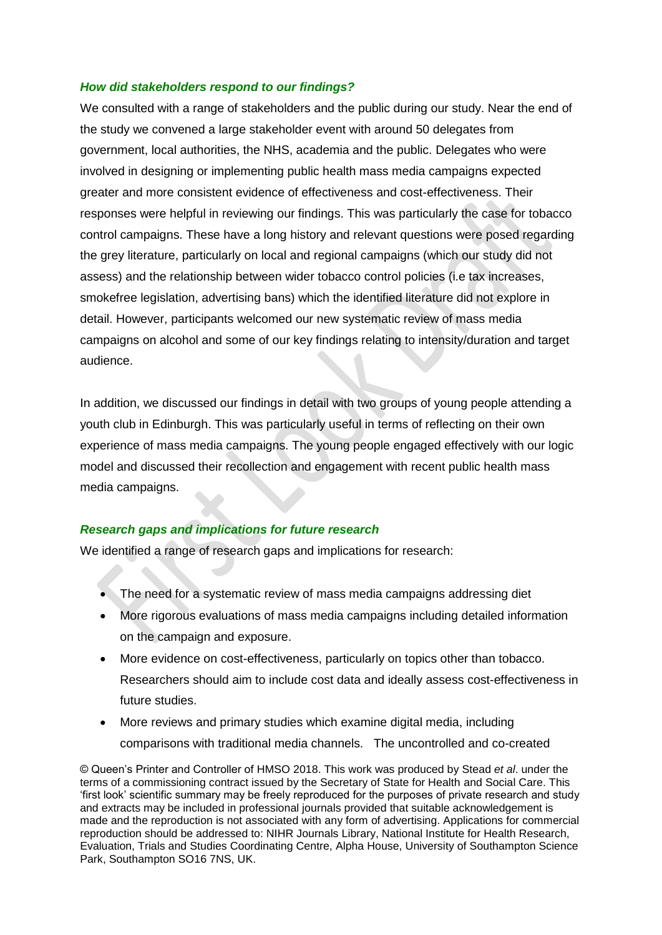### *How did stakeholders respond to our findings?*

We consulted with a range of stakeholders and the public during our study. Near the end of the study we convened a large stakeholder event with around 50 delegates from government, local authorities, the NHS, academia and the public. Delegates who were involved in designing or implementing public health mass media campaigns expected greater and more consistent evidence of effectiveness and cost-effectiveness. Their responses were helpful in reviewing our findings. This was particularly the case for tobacco control campaigns. These have a long history and relevant questions were posed regarding the grey literature, particularly on local and regional campaigns (which our study did not assess) and the relationship between wider tobacco control policies (i.e tax increases, smokefree legislation, advertising bans) which the identified literature did not explore in detail. However, participants welcomed our new systematic review of mass media campaigns on alcohol and some of our key findings relating to intensity/duration and target audience.

In addition, we discussed our findings in detail with two groups of young people attending a youth club in Edinburgh. This was particularly useful in terms of reflecting on their own experience of mass media campaigns. The young people engaged effectively with our logic model and discussed their recollection and engagement with recent public health mass media campaigns.

### *Research gaps and implications for future research*

We identified a range of research gaps and implications for research:

- The need for a systematic review of mass media campaigns addressing diet
- More rigorous evaluations of mass media campaigns including detailed information on the campaign and exposure.
- More evidence on cost-effectiveness, particularly on topics other than tobacco. Researchers should aim to include cost data and ideally assess cost-effectiveness in future studies.
- More reviews and primary studies which examine digital media, including comparisons with traditional media channels. The uncontrolled and co-created